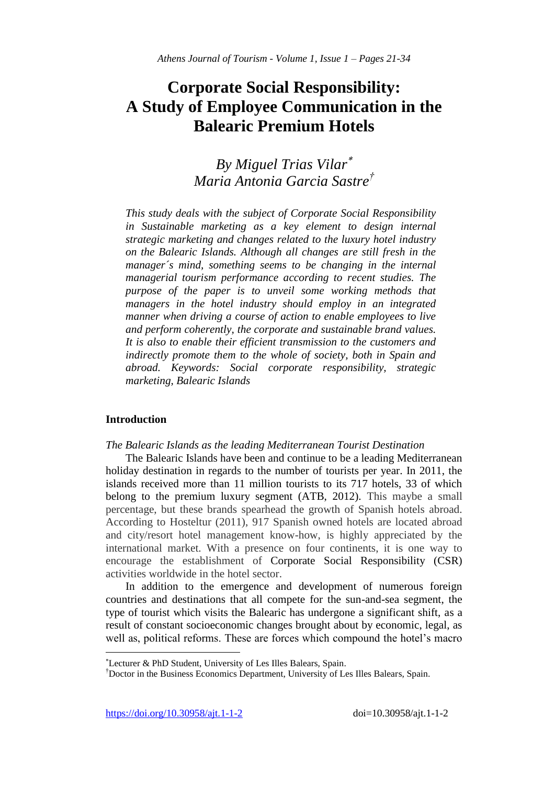# **Corporate Social Responsibility: A Study of Employee Communication in the Balearic Premium Hotels**

## *By Miguel Trias Vilar Maria Antonia Garcia Sastre†*

*This study deals with the subject of Corporate Social Responsibility in Sustainable marketing as a key element to design internal strategic marketing and changes related to the luxury hotel industry on the Balearic Islands. Although all changes are still fresh in the manager´s mind, something seems to be changing in the internal managerial tourism performance according to recent studies. The purpose of the paper is to unveil some working methods that managers in the hotel industry should employ in an integrated manner when driving a course of action to enable employees to live and perform coherently, the corporate and sustainable brand values. It is also to enable their efficient transmission to the customers and indirectly promote them to the whole of society, both in Spain and abroad. Keywords: Social corporate responsibility, strategic marketing, Balearic Islands*

### **Introduction**

 $\overline{\phantom{a}}$ 

*The Balearic Islands as the leading Mediterranean Tourist Destination*

The Balearic Islands have been and continue to be a leading Mediterranean holiday destination in regards to the number of tourists per year. In 2011, the islands received more than 11 million tourists to its 717 hotels, 33 of which belong to the premium luxury segment (ATB, 2012). This maybe a small percentage, but these brands spearhead the growth of Spanish hotels abroad. According to Hosteltur (2011), 917 Spanish owned hotels are located abroad and city/resort hotel management know-how, is highly appreciated by the international market. With a presence on four continents, it is one way to encourage the establishment of Corporate Social Responsibility (CSR) activities worldwide in the hotel sector.

In addition to the emergence and development of numerous foreign countries and destinations that all compete for the sun-and-sea segment, the type of tourist which visits the Balearic has undergone a significant shift, as a result of constant socioeconomic changes brought about by economic, legal, as well as, political reforms. These are forces which compound the hotel's macro

Lecturer & PhD Student, University of Les Illes Balears, Spain.

<sup>†</sup>Doctor in the Business Economics Department, University of Les Illes Balears, Spain.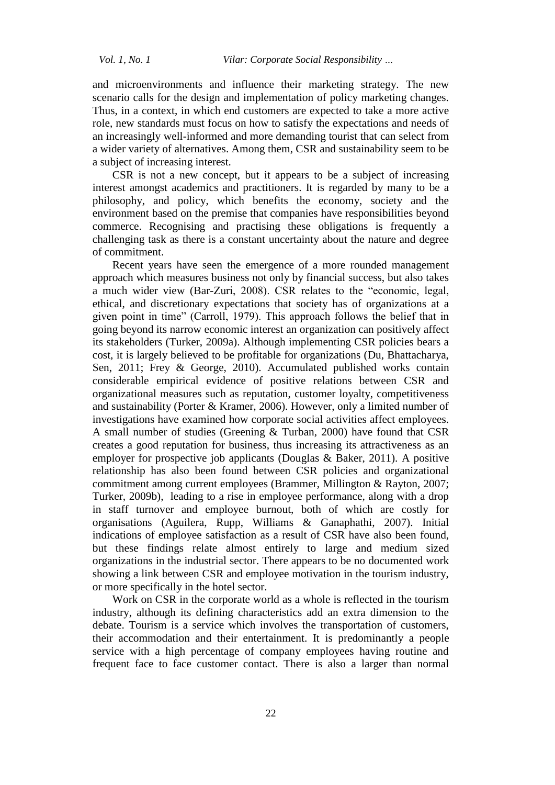and microenvironments and influence their marketing strategy. The new scenario calls for the design and implementation of policy marketing changes. Thus, in a context, in which end customers are expected to take a more active role, new standards must focus on how to satisfy the expectations and needs of an increasingly well-informed and more demanding tourist that can select from a wider variety of alternatives. Among them, CSR and sustainability seem to be a subject of increasing interest.

CSR is not a new concept, but it appears to be a subject of increasing interest amongst academics and practitioners. It is regarded by many to be a philosophy, and policy, which benefits the economy, society and the environment based on the premise that companies have responsibilities beyond commerce. Recognising and practising these obligations is frequently a challenging task as there is a constant uncertainty about the nature and degree of commitment.

Recent years have seen the emergence of a more rounded management approach which measures business not only by financial success, but also takes a much wider view (Bar-Zuri, 2008). CSR relates to the "economic, legal, ethical, and discretionary expectations that society has of organizations at a given point in time" (Carroll, 1979). This approach follows the belief that in going beyond its narrow economic interest an organization can positively affect its stakeholders (Turker, 2009a). Although implementing CSR policies bears a cost, it is largely believed to be profitable for organizations (Du, Bhattacharya, Sen, 2011; Frey & George, 2010). Accumulated published works contain considerable empirical evidence of positive relations between CSR and organizational measures such as reputation, customer loyalty, competitiveness and sustainability (Porter & Kramer, 2006). However, only a limited number of investigations have examined how corporate social activities affect employees. A small number of studies (Greening & Turban, 2000) have found that CSR creates a good reputation for business, thus increasing its attractiveness as an employer for prospective job applicants (Douglas & Baker, 2011). A positive relationship has also been found between CSR policies and organizational commitment among current employees (Brammer, Millington & Rayton, 2007; Turker, 2009b), leading to a rise in employee performance, along with a drop in staff turnover and employee burnout, both of which are costly for organisations (Aguilera, Rupp, Williams & Ganaphathi, 2007). Initial indications of employee satisfaction as a result of CSR have also been found, but these findings relate almost entirely to large and medium sized organizations in the industrial sector. There appears to be no documented work showing a link between CSR and employee motivation in the tourism industry, or more specifically in the hotel sector.

Work on CSR in the corporate world as a whole is reflected in the tourism industry, although its defining characteristics add an extra dimension to the debate. Tourism is a service which involves the transportation of customers, their accommodation and their entertainment. It is predominantly a people service with a high percentage of company employees having routine and frequent face to face customer contact. There is also a larger than normal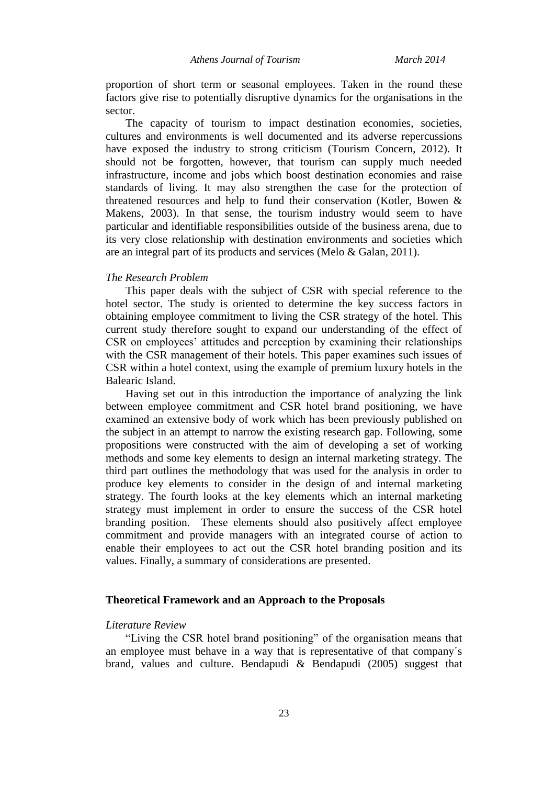proportion of short term or seasonal employees. Taken in the round these factors give rise to potentially disruptive dynamics for the organisations in the sector.

The capacity of tourism to impact destination economies, societies, cultures and environments is well documented and its adverse repercussions have exposed the industry to strong criticism (Tourism Concern, 2012). It should not be forgotten, however, that tourism can supply much needed infrastructure, income and jobs which boost destination economies and raise standards of living. It may also strengthen the case for the protection of threatened resources and help to fund their conservation (Kotler, Bowen & Makens, 2003). In that sense, the tourism industry would seem to have particular and identifiable responsibilities outside of the business arena, due to its very close relationship with destination environments and societies which are an integral part of its products and services (Melo & Galan, 2011).

#### *The Research Problem*

This paper deals with the subject of CSR with special reference to the hotel sector. The study is oriented to determine the key success factors in obtaining employee commitment to living the CSR strategy of the hotel. This current study therefore sought to expand our understanding of the effect of CSR on employees' attitudes and perception by examining their relationships with the CSR management of their hotels. This paper examines such issues of CSR within a hotel context, using the example of premium luxury hotels in the Balearic Island.

Having set out in this introduction the importance of analyzing the link between employee commitment and CSR hotel brand positioning, we have examined an extensive body of work which has been previously published on the subject in an attempt to narrow the existing research gap. Following, some propositions were constructed with the aim of developing a set of working methods and some key elements to design an internal marketing strategy. The third part outlines the methodology that was used for the analysis in order to produce key elements to consider in the design of and internal marketing strategy. The fourth looks at the key elements which an internal marketing strategy must implement in order to ensure the success of the CSR hotel branding position. These elements should also positively affect employee commitment and provide managers with an integrated course of action to enable their employees to act out the CSR hotel branding position and its values. Finally, a summary of considerations are presented.

#### **Theoretical Framework and an Approach to the Proposals**

#### *Literature Review*

"Living the CSR hotel brand positioning" of the organisation means that an employee must behave in a way that is representative of that company´s brand, values and culture. Bendapudi & Bendapudi (2005) suggest that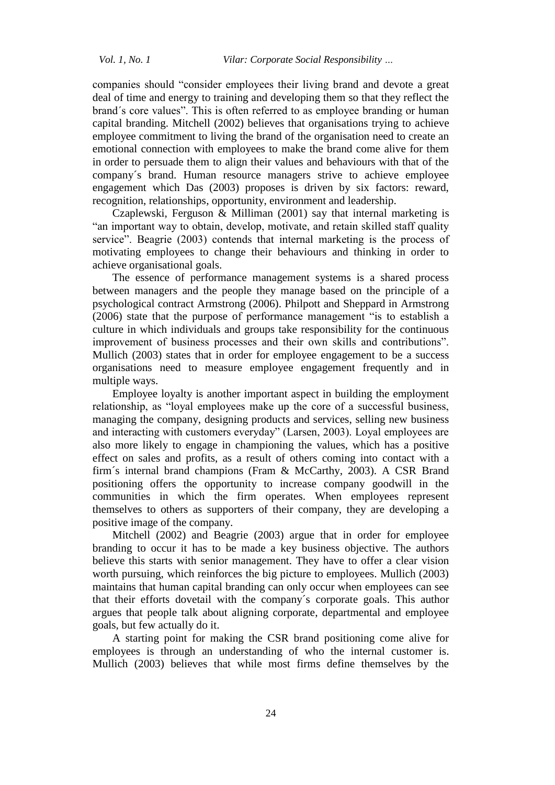companies should "consider employees their living brand and devote a great deal of time and energy to training and developing them so that they reflect the brand´s core values". This is often referred to as employee branding or human capital branding. Mitchell (2002) believes that organisations trying to achieve employee commitment to living the brand of the organisation need to create an emotional connection with employees to make the brand come alive for them in order to persuade them to align their values and behaviours with that of the company´s brand. Human resource managers strive to achieve employee engagement which Das (2003) proposes is driven by six factors: reward, recognition, relationships, opportunity, environment and leadership.

Czaplewski, Ferguson & Milliman (2001) say that internal marketing is "an important way to obtain, develop, motivate, and retain skilled staff quality service". Beagrie (2003) contends that internal marketing is the process of motivating employees to change their behaviours and thinking in order to achieve organisational goals.

The essence of performance management systems is a shared process between managers and the people they manage based on the principle of a psychological contract Armstrong (2006). Philpott and Sheppard in Armstrong (2006) state that the purpose of performance management "is to establish a culture in which individuals and groups take responsibility for the continuous improvement of business processes and their own skills and contributions". Mullich (2003) states that in order for employee engagement to be a success organisations need to measure employee engagement frequently and in multiple ways.

Employee loyalty is another important aspect in building the employment relationship, as "loyal employees make up the core of a successful business, managing the company, designing products and services, selling new business and interacting with customers everyday" (Larsen, 2003). Loyal employees are also more likely to engage in championing the values, which has a positive effect on sales and profits, as a result of others coming into contact with a firm´s internal brand champions (Fram & McCarthy, 2003). A CSR Brand positioning offers the opportunity to increase company goodwill in the communities in which the firm operates. When employees represent themselves to others as supporters of their company, they are developing a positive image of the company.

Mitchell (2002) and Beagrie (2003) argue that in order for employee branding to occur it has to be made a key business objective. The authors believe this starts with senior management. They have to offer a clear vision worth pursuing, which reinforces the big picture to employees. Mullich (2003) maintains that human capital branding can only occur when employees can see that their efforts dovetail with the company´s corporate goals. This author argues that people talk about aligning corporate, departmental and employee goals, but few actually do it.

A starting point for making the CSR brand positioning come alive for employees is through an understanding of who the internal customer is. Mullich (2003) believes that while most firms define themselves by the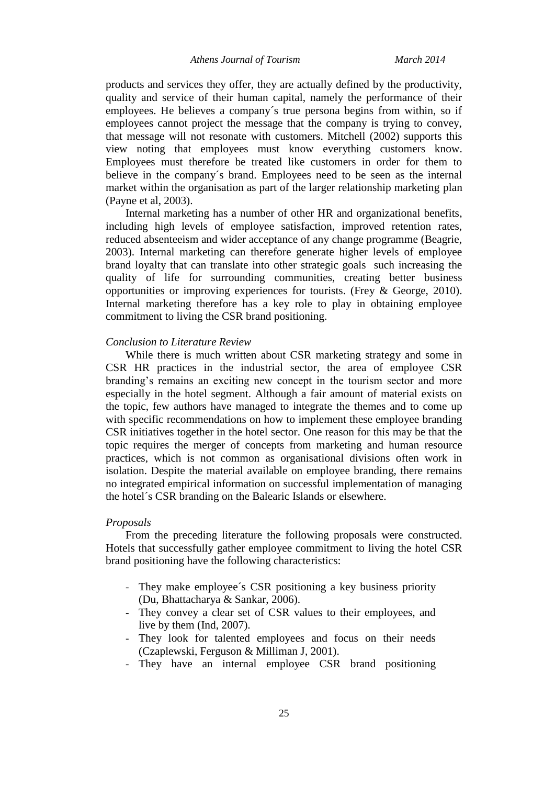*Athens Journal of Tourism March 2014*

products and services they offer, they are actually defined by the productivity, quality and service of their human capital, namely the performance of their employees. He believes a company´s true persona begins from within, so if employees cannot project the message that the company is trying to convey, that message will not resonate with customers. Mitchell (2002) supports this view noting that employees must know everything customers know. Employees must therefore be treated like customers in order for them to believe in the company´s brand. Employees need to be seen as the internal market within the organisation as part of the larger relationship marketing plan (Payne et al, 2003).

Internal marketing has a number of other HR and organizational benefits, including high levels of employee satisfaction, improved retention rates, reduced absenteeism and wider acceptance of any change programme (Beagrie, 2003). Internal marketing can therefore generate higher levels of employee brand loyalty that can translate into other strategic goals such increasing the quality of life for surrounding communities, creating better business opportunities or improving experiences for tourists. (Frey & George, 2010). Internal marketing therefore has a key role to play in obtaining employee commitment to living the CSR brand positioning.

#### *Conclusion to Literature Review*

While there is much written about CSR marketing strategy and some in CSR HR practices in the industrial sector, the area of employee CSR branding's remains an exciting new concept in the tourism sector and more especially in the hotel segment. Although a fair amount of material exists on the topic, few authors have managed to integrate the themes and to come up with specific recommendations on how to implement these employee branding CSR initiatives together in the hotel sector. One reason for this may be that the topic requires the merger of concepts from marketing and human resource practices, which is not common as organisational divisions often work in isolation. Despite the material available on employee branding, there remains no integrated empirical information on successful implementation of managing the hotel´s CSR branding on the Balearic Islands or elsewhere.

#### *Proposals*

From the preceding literature the following proposals were constructed. Hotels that successfully gather employee commitment to living the hotel CSR brand positioning have the following characteristics:

- They make employee´s CSR positioning a key business priority (Du, Bhattacharya & Sankar, 2006).
- They convey a clear set of CSR values to their employees, and live by them (Ind, 2007).
- They look for talented employees and focus on their needs (Czaplewski, Ferguson & Milliman J, 2001).
- They have an internal employee CSR brand positioning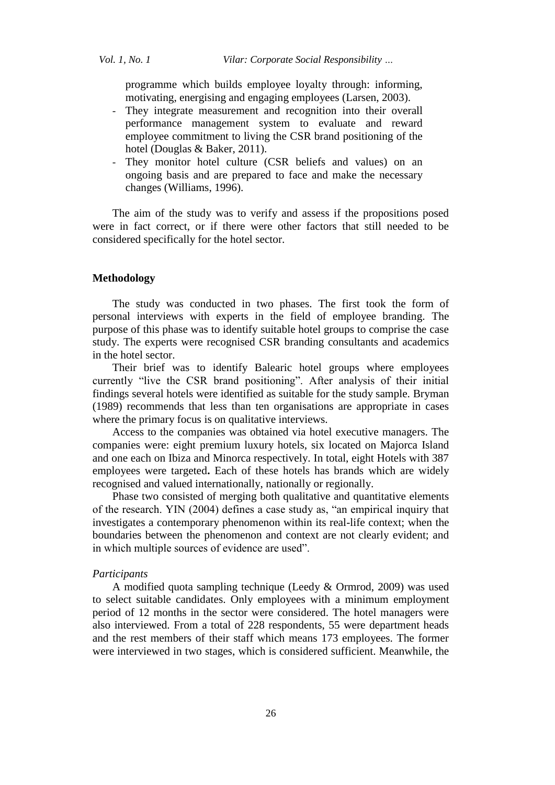programme which builds employee loyalty through: informing, motivating, energising and engaging employees (Larsen, 2003).

- They integrate measurement and recognition into their overall performance management system to evaluate and reward employee commitment to living the CSR brand positioning of the hotel (Douglas & Baker, 2011).
- They monitor hotel culture (CSR beliefs and values) on an ongoing basis and are prepared to face and make the necessary changes (Williams, 1996).

The aim of the study was to verify and assess if the propositions posed were in fact correct, or if there were other factors that still needed to be considered specifically for the hotel sector.

#### **Methodology**

The study was conducted in two phases. The first took the form of personal interviews with experts in the field of employee branding. The purpose of this phase was to identify suitable hotel groups to comprise the case study. The experts were recognised CSR branding consultants and academics in the hotel sector.

Their brief was to identify Balearic hotel groups where employees currently "live the CSR brand positioning". After analysis of their initial findings several hotels were identified as suitable for the study sample. Bryman (1989) recommends that less than ten organisations are appropriate in cases where the primary focus is on qualitative interviews.

Access to the companies was obtained via hotel executive managers. The companies were: eight premium luxury hotels, six located on Majorca Island and one each on Ibiza and Minorca respectively. In total, eight Hotels with 387 employees were targeted**.** Each of these hotels has brands which are widely recognised and valued internationally, nationally or regionally.

Phase two consisted of merging both qualitative and quantitative elements of the research. YIN (2004) defines a case study as, "an empirical inquiry that investigates a contemporary phenomenon within its real-life context; when the boundaries between the phenomenon and context are not clearly evident; and in which multiple sources of evidence are used".

#### *Participants*

A modified quota sampling technique (Leedy & Ormrod, 2009) was used to select suitable candidates. Only employees with a minimum employment period of 12 months in the sector were considered. The hotel managers were also interviewed. From a total of 228 respondents, 55 were department heads and the rest members of their staff which means 173 employees. The former were interviewed in two stages, which is considered sufficient. Meanwhile, the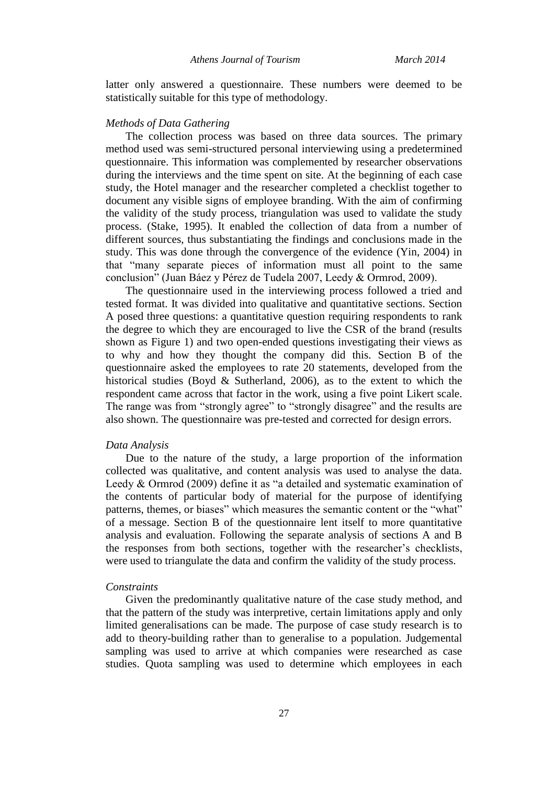i<br>Li latter only answered a questionnaire. These numbers were deemed to be statistically suitable for this type of methodology.

#### *Methods of Data Gathering*

The collection process was based on three data sources. The primary method used was semi-structured personal interviewing using a predetermined questionnaire. This information was complemented by researcher observations during the interviews and the time spent on site. At the beginning of each case study, the Hotel manager and the researcher completed a checklist together to document any visible signs of employee branding. With the aim of confirming the validity of the study process, triangulation was used to validate the study process. (Stake, 1995). It enabled the collection of data from a number of different sources, thus substantiating the findings and conclusions made in the study. This was done through the convergence of the evidence (Yin, 2004) in that "many separate pieces of information must all point to the same conclusion" (Juan Báez y Pérez de Tudela 2007, Leedy & Ormrod, 2009).

The questionnaire used in the interviewing process followed a tried and tested format. It was divided into qualitative and quantitative sections. Section A posed three questions: a quantitative question requiring respondents to rank the degree to which they are encouraged to live the CSR of the brand (results shown as Figure 1) and two open-ended questions investigating their views as to why and how they thought the company did this. Section B of the questionnaire asked the employees to rate 20 statements, developed from the historical studies (Boyd & Sutherland, 2006), as to the extent to which the respondent came across that factor in the work, using a five point Likert scale. The range was from "strongly agree" to "strongly disagree" and the results are also shown. The questionnaire was pre-tested and corrected for design errors.

#### *Data Analysis*

Due to the nature of the study, a large proportion of the information collected was qualitative, and content analysis was used to analyse the data. Leedy & Ormrod (2009) define it as "a detailed and systematic examination of the contents of particular body of material for the purpose of identifying patterns, themes, or biases" which measures the semantic content or the "what" of a message. Section B of the questionnaire lent itself to more quantitative analysis and evaluation. Following the separate analysis of sections A and B the responses from both sections, together with the researcher's checklists, were used to triangulate the data and confirm the validity of the study process.

#### *Constraints*

Given the predominantly qualitative nature of the case study method, and that the pattern of the study was interpretive, certain limitations apply and only limited generalisations can be made. The purpose of case study research is to add to theory-building rather than to generalise to a population. Judgemental sampling was used to arrive at which companies were researched as case studies. Quota sampling was used to determine which employees in each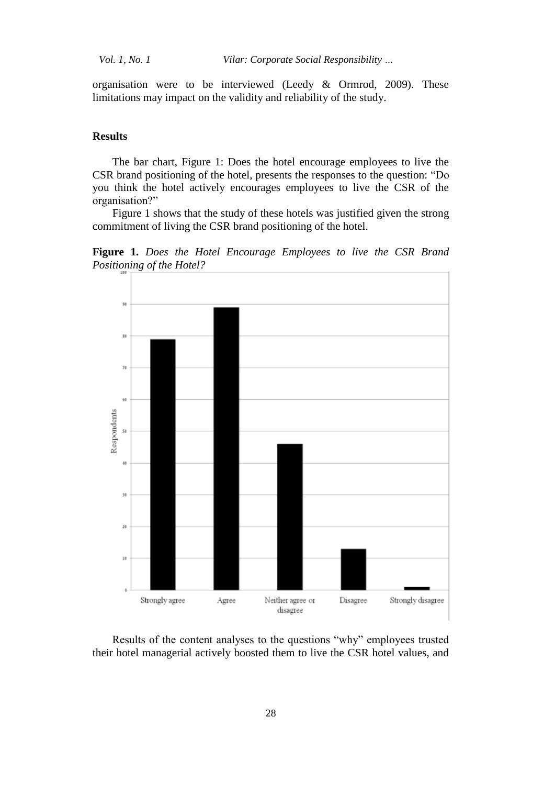*Vol. 1, No. 1 Vilar: Corporate Social Responsibility …*

organisation were to be interviewed (Leedy & Ormrod, 2009). These limitations may impact on the validity and reliability of the study.

#### **Results**

The bar chart, Figure 1: Does the hotel encourage employees to live the CSR brand positioning of the hotel, presents the responses to the question: "Do you think the hotel actively encourages employees to live the CSR of the organisation?"

Figure 1 shows that the study of these hotels was justified given the strong commitment of living the CSR brand positioning of the hotel.

**Figure 1.** *Does the Hotel Encourage Employees to live the CSR Brand Positioning of the Hotel?*



Results of the content analyses to the questions "why" employees trusted their hotel managerial actively boosted them to live the CSR hotel values, and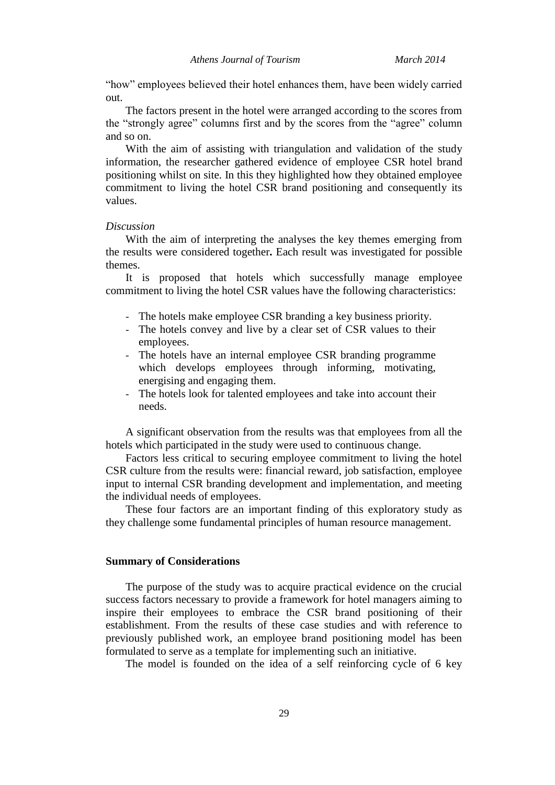i. "how" employees believed their hotel enhances them, have been widely carried out.

The factors present in the hotel were arranged according to the scores from the "strongly agree" columns first and by the scores from the "agree" column and so on.

With the aim of assisting with triangulation and validation of the study information, the researcher gathered evidence of employee CSR hotel brand positioning whilst on site. In this they highlighted how they obtained employee commitment to living the hotel CSR brand positioning and consequently its values.

#### *Discussion*

With the aim of interpreting the analyses the key themes emerging from the results were considered together**.** Each result was investigated for possible themes.

It is proposed that hotels which successfully manage employee commitment to living the hotel CSR values have the following characteristics:

- The hotels make employee CSR branding a key business priority.
- The hotels convey and live by a clear set of CSR values to their employees.
- The hotels have an internal employee CSR branding programme which develops employees through informing, motivating, energising and engaging them.
- The hotels look for talented employees and take into account their needs.

A significant observation from the results was that employees from all the hotels which participated in the study were used to continuous change.

Factors less critical to securing employee commitment to living the hotel CSR culture from the results were: financial reward, job satisfaction, employee input to internal CSR branding development and implementation, and meeting the individual needs of employees.

These four factors are an important finding of this exploratory study as they challenge some fundamental principles of human resource management.

### **Summary of Considerations**

The purpose of the study was to acquire practical evidence on the crucial success factors necessary to provide a framework for hotel managers aiming to inspire their employees to embrace the CSR brand positioning of their establishment. From the results of these case studies and with reference to previously published work, an employee brand positioning model has been formulated to serve as a template for implementing such an initiative.

The model is founded on the idea of a self reinforcing cycle of 6 key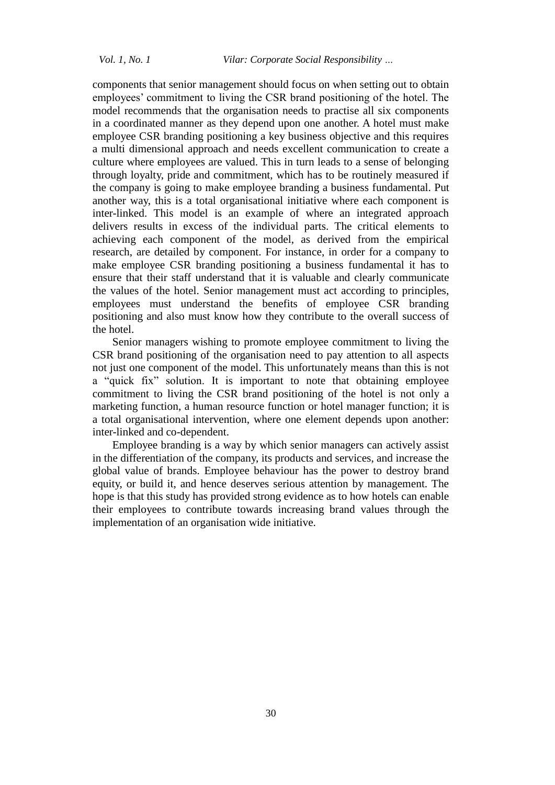components that senior management should focus on when setting out to obtain employees' commitment to living the CSR brand positioning of the hotel. The model recommends that the organisation needs to practise all six components in a coordinated manner as they depend upon one another. A hotel must make employee CSR branding positioning a key business objective and this requires a multi dimensional approach and needs excellent communication to create a culture where employees are valued. This in turn leads to a sense of belonging through loyalty, pride and commitment, which has to be routinely measured if the company is going to make employee branding a business fundamental. Put another way, this is a total organisational initiative where each component is inter-linked. This model is an example of where an integrated approach delivers results in excess of the individual parts. The critical elements to achieving each component of the model, as derived from the empirical research, are detailed by component. For instance, in order for a company to make employee CSR branding positioning a business fundamental it has to ensure that their staff understand that it is valuable and clearly communicate the values of the hotel. Senior management must act according to principles, employees must understand the benefits of employee CSR branding positioning and also must know how they contribute to the overall success of the hotel.

Senior managers wishing to promote employee commitment to living the CSR brand positioning of the organisation need to pay attention to all aspects not just one component of the model. This unfortunately means than this is not a "quick fix" solution. It is important to note that obtaining employee commitment to living the CSR brand positioning of the hotel is not only a marketing function, a human resource function or hotel manager function; it is a total organisational intervention, where one element depends upon another: inter-linked and co-dependent.

Employee branding is a way by which senior managers can actively assist in the differentiation of the company, its products and services, and increase the global value of brands. Employee behaviour has the power to destroy brand equity, or build it, and hence deserves serious attention by management. The hope is that this study has provided strong evidence as to how hotels can enable their employees to contribute towards increasing brand values through the implementation of an organisation wide initiative.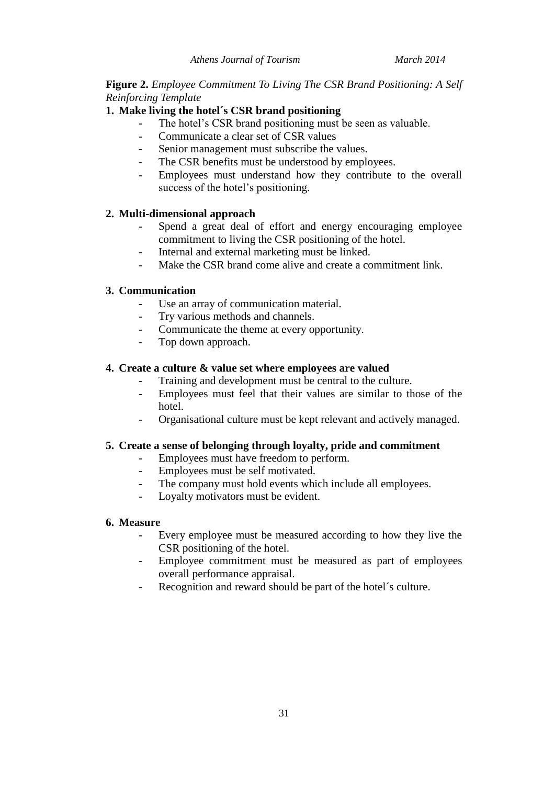## j. **Figure 2.** *Employee Commitment To Living The CSR Brand Positioning: A Self Reinforcing Template*

## **1. Make living the hotel´s CSR brand positioning**

- The hotel's CSR brand positioning must be seen as valuable.
- Communicate a clear set of CSR values
- Senior management must subscribe the values.
- The CSR benefits must be understood by employees.
- Employees must understand how they contribute to the overall success of the hotel's positioning.

## **2. Multi-dimensional approach**

- Spend a great deal of effort and energy encouraging employee commitment to living the CSR positioning of the hotel.
- Internal and external marketing must be linked.
- Make the CSR brand come alive and create a commitment link.

## **3. Communication**

- Use an array of communication material.
- Try various methods and channels.
- Communicate the theme at every opportunity.
- Top down approach.

## **4. Create a culture & value set where employees are valued**

- Training and development must be central to the culture.
- Employees must feel that their values are similar to those of the hotel.
- Organisational culture must be kept relevant and actively managed.

## **5. Create a sense of belonging through loyalty, pride and commitment**

- Employees must have freedom to perform.
- Employees must be self motivated.
- The company must hold events which include all employees.
- Loyalty motivators must be evident.

## **6. Measure**

- Every employee must be measured according to how they live the CSR positioning of the hotel.
- Employee commitment must be measured as part of employees overall performance appraisal.
- Recognition and reward should be part of the hotel's culture.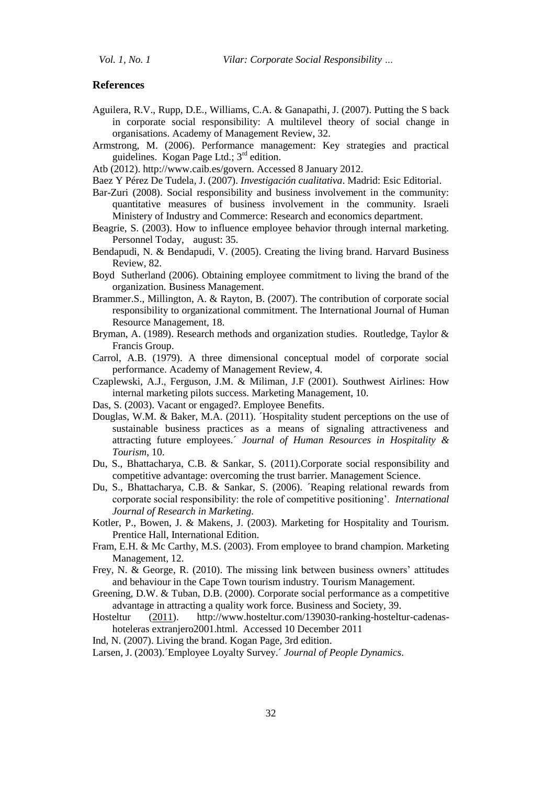#### **References**

- Aguilera, R.V., Rupp, D.E*.,* Williams, C.A. & Ganapathi, J. (2007). Putting the S back in corporate social responsibility: A multilevel theory of social change in organisations. Academy of Management Review, 32.
- Armstrong, M. (2006). Performance management: Key strategies and practical guidelines. Kogan Page Ltd.;  $3<sup>rd</sup>$  edition.
- Atb (2012). http://www.caib.es/govern. Accessed 8 January 2012.
- Baez Y Pérez De Tudela, J. (2007). *Investigación cualitativa*. Madrid: Esic Editorial.
- Bar-Zuri (2008). Social responsibility and business involvement in the community: quantitative measures of business involvement in the community. Israeli Ministery of Industry and Commerce: Research and economics department.
- Beagrie, S. (2003). How to influence employee behavior through internal marketing. Personnel Today, august: 35.
- Bendapudi, N. & Bendapudi, V. (2005). Creating the living brand. Harvard Business Review, 82.
- Boyd Sutherland (2006). Obtaining employee commitment to living the brand of the organization*.* Business Management.
- Brammer.S., Millington, A. & Rayton, B. (2007). The contribution of corporate social responsibility to organizational commitment. The International Journal of Human Resource Management, 18.
- Bryman, A. (1989). Research methods and organization studies. Routledge, Taylor & Francis Group.
- Carrol, A.B. (1979). A three dimensional conceptual model of corporate social performance. Academy of Management Review, 4.
- Czaplewski, A.J., Ferguson, J.M. & Miliman, J.F (2001). Southwest Airlines: How internal marketing pilots success. Marketing Management, 10.
- Das, S. (2003). Vacant or engaged?. Employee Benefits.
- Douglas, W.M. & Baker, M.A. (2011). Thospitality student perceptions on the use of sustainable business practices as a means of signaling attractiveness and attracting future employees.´ *Journal of Human Resources in Hospitality & Tourism*, 10.
- Du, S., Bhattacharya, C.B. & Sankar, S. (2011).Corporate social responsibility and competitive advantage: overcoming the trust barrier. Management Science.
- Du, S., Bhattacharya, C.B. & Sankar, S. (2006). Teaping relational rewards from corporate social responsibility: the role of competitive positioning'. *International Journal of Research in Marketing.*
- Kotler, P., Bowen, J. & Makens, J. (2003). Marketing for Hospitality and Tourism. Prentice Hall, International Edition.
- Fram, E.H. & Mc Carthy, M.S. (2003). From employee to brand champion. Marketing Management, 12.
- Frey, N. & George, R. (2010). The missing link between business owners' attitudes and behaviour in the Cape Town tourism industry. Tourism Management.
- Greening, D.W. & Tuban, D.B. (2000). Corporate social performance as a competitive advantage in attracting a quality work force. Business and Society, 39.
- Hosteltur (2011). http://www.hosteltur.com/139030-ranking-hosteltur-cadenashoteleras extranjero2001.html. Accessed 10 December 2011
- Ind, N. (2007). Living the brand. Kogan Page, 3rd edition.

Larsen, J. (2003).´Employee Loyalty Survey.´ *Journal of People Dynamics*.